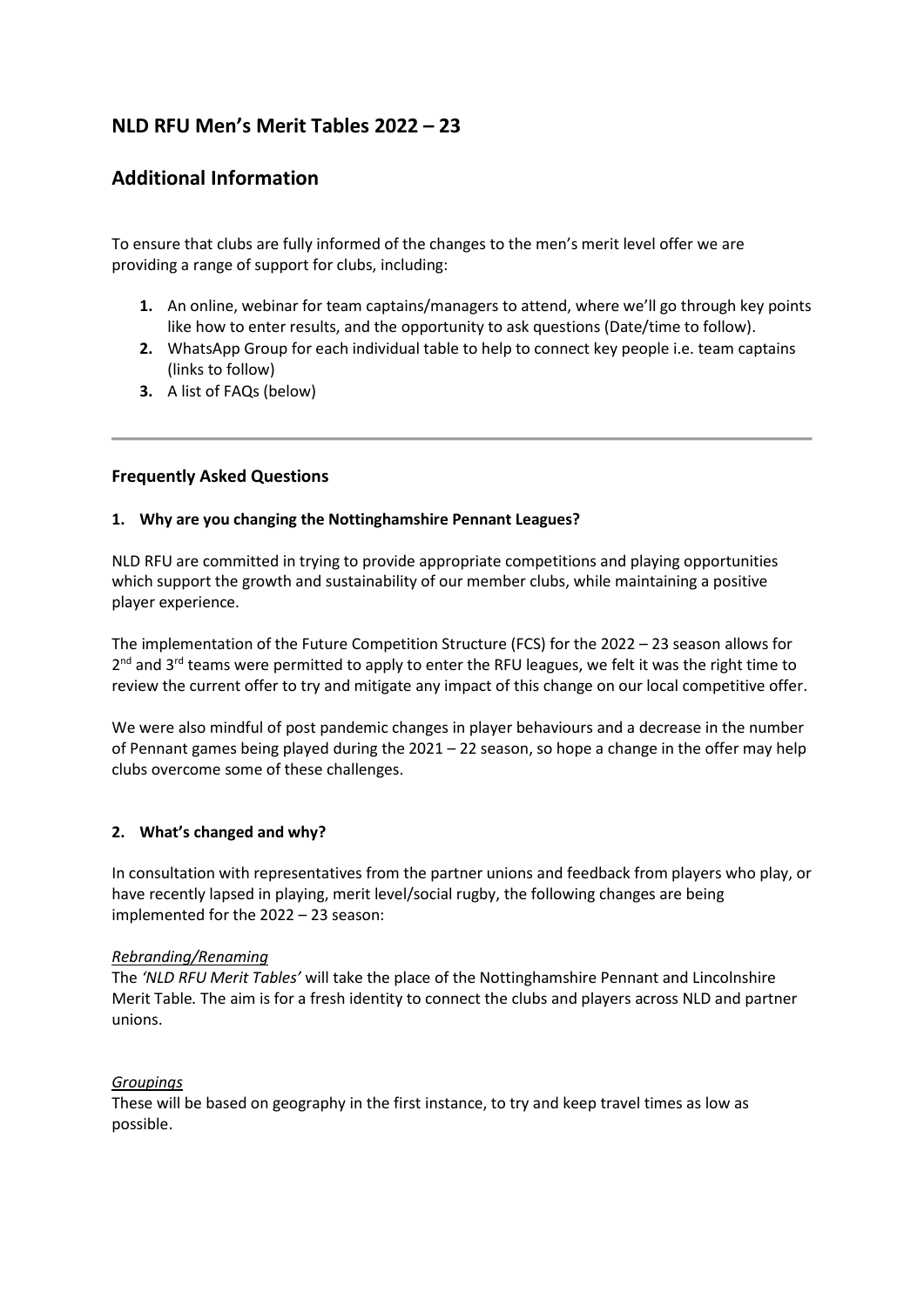# **NLD RFU Men's Merit Tables 2022 – 23**

# **Additional Information**

To ensure that clubs are fully informed of the changes to the men's merit level offer we are providing a range of support for clubs, including:

- **1.** An online, webinar for team captains/managers to attend, where we'll go through key points like how to enter results, and the opportunity to ask questions (Date/time to follow).
- **2.** WhatsApp Group for each individual table to help to connect key people i.e. team captains (links to follow)
- **3.** A list of FAQs (below)

# **Frequently Asked Questions**

### **1. Why are you changing the Nottinghamshire Pennant Leagues?**

NLD RFU are committed in trying to provide appropriate competitions and playing opportunities which support the growth and sustainability of our member clubs, while maintaining a positive player experience.

The implementation of the Future Competition Structure (FCS) for the 2022 – 23 season allows for 2<sup>nd</sup> and 3<sup>rd</sup> teams were permitted to apply to enter the RFU leagues, we felt it was the right time to review the current offer to try and mitigate any impact of this change on our local competitive offer.

We were also mindful of post pandemic changes in player behaviours and a decrease in the number of Pennant games being played during the 2021 – 22 season, so hope a change in the offer may help clubs overcome some of these challenges.

#### **2. What's changed and why?**

In consultation with representatives from the partner unions and feedback from players who play, or have recently lapsed in playing, merit level/social rugby, the following changes are being implemented for the 2022 – 23 season:

#### *Rebranding/Renaming*

The *'NLD RFU Merit Tables'* will take the place of the Nottinghamshire Pennant and Lincolnshire Merit Table*.* The aim is for a fresh identity to connect the clubs and players across NLD and partner unions.

#### *Groupings*

These will be based on geography in the first instance, to try and keep travel times as low as possible.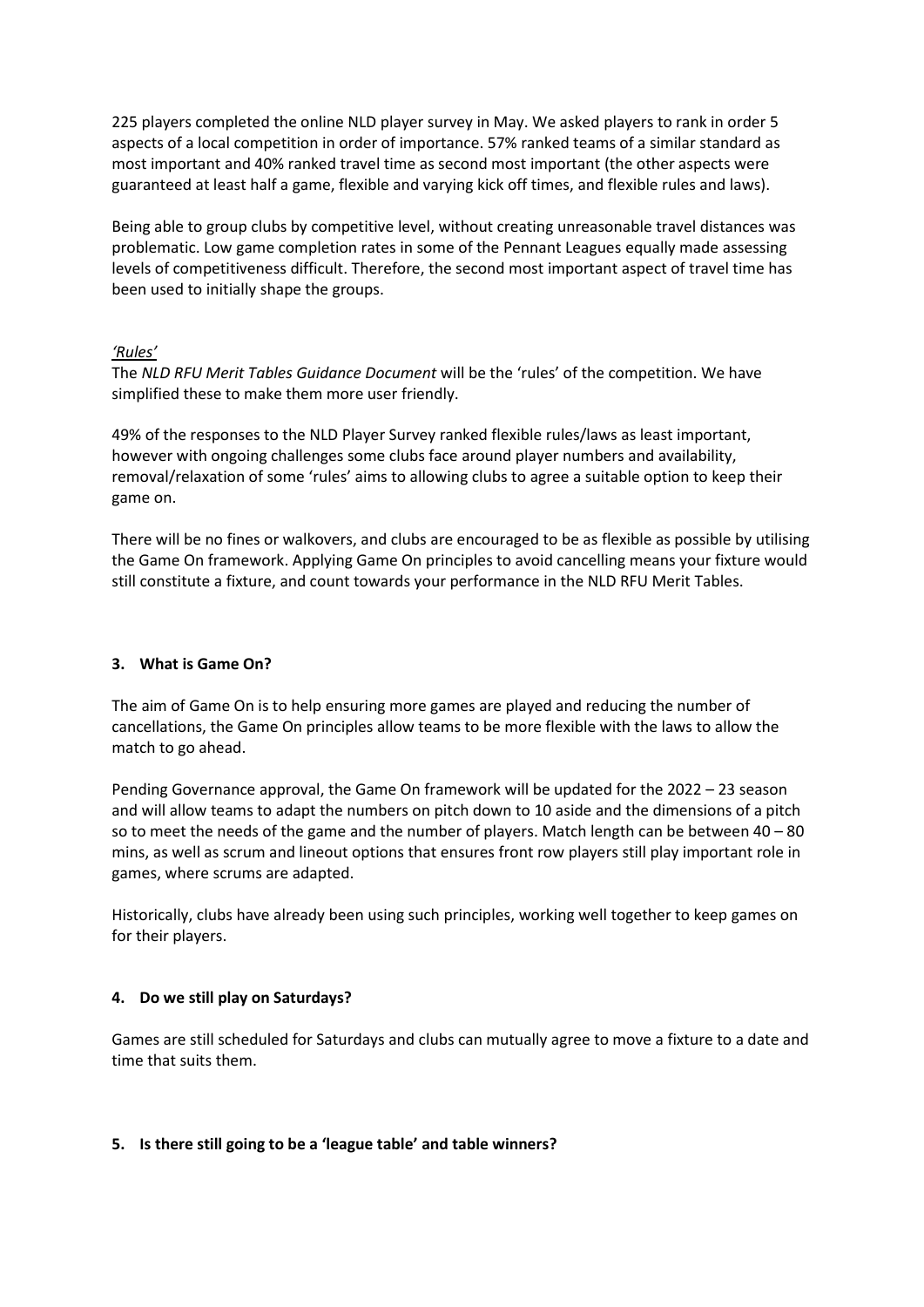225 players completed the online NLD player survey in May. We asked players to rank in order 5 aspects of a local competition in order of importance. 57% ranked teams of a similar standard as most important and 40% ranked travel time as second most important (the other aspects were guaranteed at least half a game, flexible and varying kick off times, and flexible rules and laws).

Being able to group clubs by competitive level, without creating unreasonable travel distances was problematic. Low game completion rates in some of the Pennant Leagues equally made assessing levels of competitiveness difficult. Therefore, the second most important aspect of travel time has been used to initially shape the groups.

#### *'Rules'*

The *NLD RFU Merit Tables Guidance Document* will be the 'rules' of the competition. We have simplified these to make them more user friendly.

49% of the responses to the NLD Player Survey ranked flexible rules/laws as least important, however with ongoing challenges some clubs face around player numbers and availability, removal/relaxation of some 'rules' aims to allowing clubs to agree a suitable option to keep their game on.

There will be no fines or walkovers, and clubs are encouraged to be as flexible as possible by utilising the Game On framework. Applying Game On principles to avoid cancelling means your fixture would still constitute a fixture, and count towards your performance in the NLD RFU Merit Tables.

# **3. What is Game On?**

The aim of Game On is to help ensuring more games are played and reducing the number of cancellations, the Game On principles allow teams to be more flexible with the laws to allow the match to go ahead.

Pending Governance approval, the Game On framework will be updated for the 2022 – 23 season and will allow teams to adapt the numbers on pitch down to 10 aside and the dimensions of a pitch so to meet the needs of the game and the number of players. Match length can be between  $40 - 80$ mins, as well as scrum and lineout options that ensures front row players still play important role in games, where scrums are adapted.

Historically, clubs have already been using such principles, working well together to keep games on for their players.

#### **4. Do we still play on Saturdays?**

Games are still scheduled for Saturdays and clubs can mutually agree to move a fixture to a date and time that suits them.

#### **5. Is there still going to be a 'league table' and table winners?**